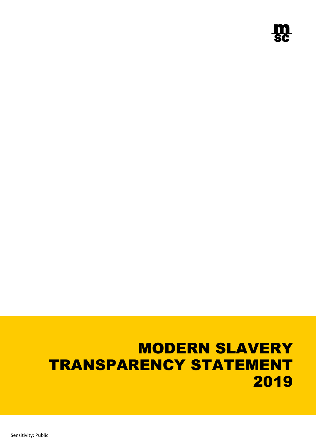# MODERN SLAVERY TRANSPARENCY STATEMENT 2019

Sensitivity: Public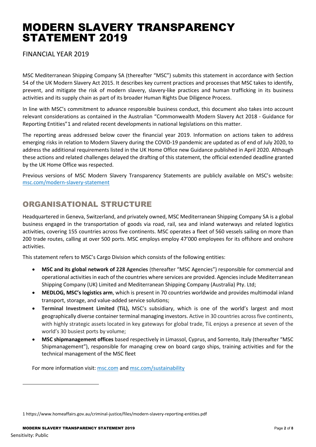# MODERN SLAVERY TRANSPARENCY STATEMENT 2019

FINANCIAL YEAR 2019

MSC Mediterranean Shipping Company SA (thereafter "MSC") submits this statement in accordance with Section 54 of the UK Modern Slavery Act 2015. It describes key current practices and processes that MSC takes to identify, prevent, and mitigate the risk of modern slavery, slavery-like practices and human trafficking in its business activities and its supply chain as part of its broader Human Rights Due Diligence Process.

In line with MSC's commitment to advance responsible business conduct, this document also takes into account relevant considerations as contained in the Australian "Commonwealth Modern Slavery Act 2018 - Guidance for Reporting Entities"[1](#page-1-0) and related recent developments in national legislations on this matter.

The reporting areas addressed below cover the financial year 2019. Information on actions taken to address emerging risks in relation to Modern Slavery during the COVID-19 pandemic are updated as of end of July 2020, to address the additional requirements listed in the UK Home Office new Guidance published in April 2020. Although these actions and related challenges delayed the drafting of this statement, the official extended deadline granted by the UK Home Office was respected.

Previous versions of MSC Modern Slavery Transparency Statements are publicly available on MSC's website: [msc.com/modern-slavery-statement](https://www.msc.com/modern-slavery-statement)

# ORGANISATIONAL STRUCTURE

Headquartered in Geneva, Switzerland, and privately owned, MSC Mediterranean Shipping Company SA is a global business engaged in the transportation of goods via road, rail, sea and inland waterways and related logistics activities, covering 155 countries across five continents. MSC operates a fleet of 560 vessels sailing on more than 200 trade routes, calling at over 500 ports. MSC employs employ 47'000 employees for its offshore and onshore activities.

This statement refers to MSC's Cargo Division which consists of the following entities:

- **MSC and its global network of 228 Agencies** (thereafter "MSC Agencies") responsible for commercial and operational activities in each of the countries where services are provided. Agencies include Mediterranean Shipping Company (UK) Limited and Mediterranean Shipping Company (Australia) Pty. Ltd;
- **MEDLOG, MSC's logistics arm**, which is present in 70 countries worldwide and provides multimodal inland transport, storage, and value-added service solutions;
- **Terminal Investment Limited (TiL),** MSC's subsidiary, which is one of the world's largest and most geographically diverse container terminal managing investors. Active in 30 countries across five continents, with highly strategic assets located in key gateways for global trade, TiL enjoys a presence at seven of the world's 30 busiest ports by volume;
- **MSC shipmanagement offices** based respectively in Limassol, Cyprus, and Sorrento, Italy (thereafter "MSC Shipmanagement"), responsible for managing crew on board cargo ships, training activities and for the technical management of the MSC fleet

For more information visit: [msc.com](http://www.msc.com/) an[d msc.com/sustainability](https://www.msc.com/sustainability)

<span id="page-1-0"></span><sup>1</sup> <https://www.homeaffairs.gov.au/criminal-justice/files/modern-slavery-reporting-entities.pdf>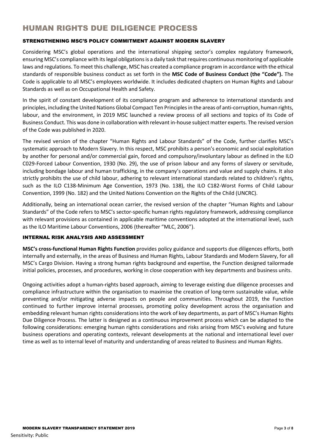## HUMAN RIGHTS DUE DILIGENCE PROCESS

#### STRENGTHENING MSC'S POLICY COMMITMENT AGAINST MODERN SLAVERY

Considering MSC's global operations and the international shipping sector's complex regulatory framework, ensuring MSC's compliance with its legal obligations is a daily task that requires continuous monitoring of applicable laws and regulations. To meet this challenge, MSC has created a compliance program in accordance with the ethical standards of responsible business conduct as set forth in the **MSC Code of Business Conduct (the "Code").** The Code is applicable to all MSC's employees worldwide. It includes dedicated chapters on Human Rights and Labour Standards as well as on Occupational Health and Safety.

In the spirit of constant development of its compliance program and adherence to international standards and principles, including the United Nations Global Compact Ten Principles in the areas of anti-corruption, human rights, labour, and the environment, in 2019 MSC launched a review process of all sections and topics of its Code of Business Conduct. This was done in collaboration with relevant in-house subject matter experts. The revised version of the Code was published in 2020.

The revised version of the chapter "Human Rights and Labour Standards" of the Code, further clarifies MSC's systematic approach to Modern Slavery. In this respect, MSC prohibits a person's economic and social exploitation by another for personal and/or commercial gain, forced and compulsory/involuntary labour as defined in the ILO C029-Forced Labour Convention, 1930 (No. 29), the use of prison labour and any forms of slavery or servitude, including bondage labour and human trafficking, in the company's operations and value and supply chains. It also strictly prohibits the use of child labour, adhering to relevant international standards related to children's rights, such as the ILO C138-Minimum Age Convention, 1973 (No. 138), the ILO C182-Worst Forms of Child Labour Convention, 1999 (No. 182) and the United Nations Convention on the Rights of the Child (UNCRC).

Additionally, being an international ocean carrier, the revised version of the chapter "Human Rights and Labour Standards" of the Code refers to MSC's sector-specific human rights regulatory framework, addressing compliance with relevant provisions as contained in applicable maritime conventions adopted at the international level, such as the ILO Maritime Labour Conventions, 2006 (thereafter "MLC, 2006").

#### INTERNAL RISK ANALYSIS AND ASSESSMENT

**MSC's cross-functional Human Rights Function** provides policy guidance and supports due diligences efforts, both internally and externally, in the areas of Business and Human Rights, Labour Standards and Modern Slavery, for all MSC's Cargo Division. Having a strong human rights background and expertise, the Function designed tailormade initial policies, processes, and procedures, working in close cooperation with key departments and business units.

Ongoing activities adopt a human-rights based approach, aiming to leverage existing due diligence processes and compliance infrastructure within the organisation to maximise the creation of long-term sustainable value, while preventing and/or mitigating adverse impacts on people and communities. Throughout 2019, the Function continued to further improve internal processes, promoting policy development across the organisation and embedding relevant human rights considerations into the work of key departments, as part of MSC's Human Rights Due Diligence Process. The latter is designed as a continuous improvement process which can be adapted to the following considerations: emerging human rights considerations and risks arising from MSC's evolving and future business operations and operating contexts, relevant developments at the national and international level over time as well as to internal level of maturity and understanding of areas related to Business and Human Rights.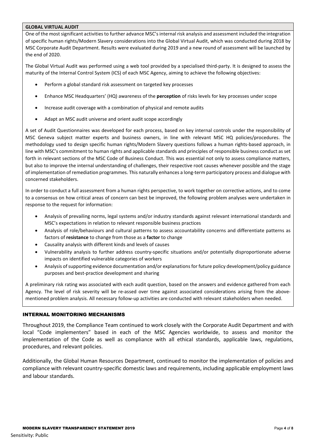#### **GLOBAL VIRTUAL AUDIT**

One of the most significant activities to further advance MSC's internal risk analysis and assessment included the integration of specific human rights/Modern Slavery considerations into the Global Virtual Audit, which was conducted during 2018 by MSC Corporate Audit Department. Results were evaluated during 2019 and a new round of assessment will be launched by the end of 2020.

The Global Virtual Audit was performed using a web tool provided by a specialised third-party. It is designed to assess the maturity of the Internal Control System (ICS) of each MSC Agency, aiming to achieve the following objectives:

- Perform a global standard risk assessment on targeted key processes
- Enhance MSC Headquarters' (HQ) awareness of the **perception** of risks levels for key processes under scope
- Increase audit coverage with a combination of physical and remote audits
- Adapt an MSC audit universe and orient audit scope accordingly

A set of Audit Questionnaires was developed for each process, based on key internal controls under the responsibility of MSC Geneva subject matter experts and business owners, in line with relevant MSC HQ policies/procedures. The methodology used to design specific human rights/Modern Slavery questions follows a human rights-based approach, in line with MSC's commitment to human rights and applicable standards and principles of responsible business conduct as set forth in relevant sections of the MSC Code of Business Conduct. This was essential not only to assess compliance matters, but also to improve the internal understanding of challenges, their respective root causes whenever possible and the stage of implementation of remediation programmes. This naturally enhances a long-term participatory process and dialogue with concerned stakeholders.

In order to conduct a full assessment from a human rights perspective, to work together on corrective actions, and to come to a consensus on how critical areas of concern can best be improved, the following problem analyses were undertaken in response to the request for information:

- Analysis of prevailing norms, legal systems and/or industry standards against relevant international standards and MSC's expectations in relation to relevant responsible business practices
- Analysis of role/behaviours and cultural patterns to assess accountability concerns and differentiate patterns as factors of **resistance** to change from those as a **factor** to change
- Causality analysis with different kinds and levels of causes
- Vulnerability analysis to further address country-specific situations and/or potentially disproportionate adverse impacts on identified vulnerable categories of workers
- Analysis of supporting evidence documentation and/or explanationsfor future policy development/policy guidance purposes and best-practice development and sharing

A preliminary risk rating was associated with each audit question, based on the answers and evidence gathered from each Agency. The level of risk severity will be re-assed over time against associated considerations arising from the abovementioned problem analysis. All necessary follow-up activities are conducted with relevant stakeholders when needed.

#### INTERNAL MONITORING MECHANISMS

Throughout 2019, the Compliance Team continued to work closely with the Corporate Audit Department and with local "Code implementers" based in each of the MSC Agencies worldwide, to assess and monitor the implementation of the Code as well as compliance with all ethical standards, applicable laws, regulations, procedures, and relevant policies.

Additionally, the Global Human Resources Department, continued to monitor the implementation of policies and compliance with relevant country-specific domestic laws and requirements, including applicable employment laws and labour standards.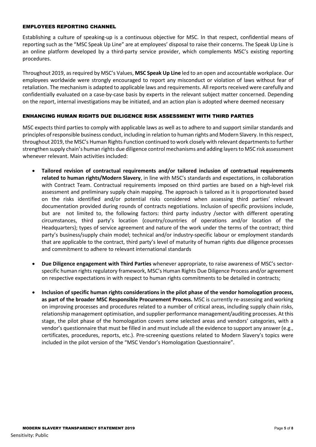#### EMPLOYEES REPORTING CHANNEL

Establishing a culture of speaking-up is a continuous objective for MSC. In that respect, confidential means of reporting such as the "MSC Speak Up Line" are at employees' disposal to raise their concerns. The Speak Up Line is an online platform developed by a third-party service provider, which complements MSC's existing reporting procedures.

Throughout 2019, as required by MSC's Values, **MSC Speak Up Line** led to an open and accountable workplace. Our employees worldwide were strongly encouraged to report any misconduct or violation of laws without fear of retaliation. The mechanism is adapted to applicable laws and requirements. All reports received were carefully and confidentially evaluated on a case-by-case basis by experts in the relevant subject matter concerned. Depending on the report, internal investigations may be initiated, and an action plan is adopted where deemed necessary

#### ENHANCING HUMAN RIGHTS DUE DILIGENCE RISK ASSESSMENT WITH THIRD PARTIES

MSC expects third parties to comply with applicable laws as well as to adhere to and support similar standards and principles of responsible business conduct, including in relation to human rights and Modern Slavery. In this respect, throughout 2019, the MSC's Human Rights Function continued to work closely with relevant departments to further strengthen supply chain's human rights due diligence control mechanisms and adding layers to MSC risk assessment whenever relevant. Main activities included:

- **Tailored revision of contractual requirements and/or tailored inclusion of contractual requirements related to human rights/Modern Slavery**, in line with MSC's standards and expectations, in collaboration with Contract Team. Contractual requirements imposed on third parties are based on a high-level risk assessment and preliminary supply chain mapping. The approach is tailored as it is proportionated based on the risks identified and/or potential risks considered when assessing third parties' relevant documentation provided during rounds of contracts negotiations. Inclusion of specific provisions include, but are not limited to, the following factors: third party industry /sector with different operating circumstances, third party's location (country/countries of operations and/or location of the Headquarters); types of service agreement and nature of the work under the terms of the contract; third party's business/supply chain model; technical and/or industry-specific labour or employment standards that are applicable to the contract, third party's level of maturity of human rights due diligence processes and commitment to adhere to relevant international standards
- **Due Diligence engagement with Third Parties** whenever appropriate, to raise awareness of MSC's sectorspecific human rights regulatory framework, MSC's Human Rights Due Diligence Process and/or agreement on respective expectations in with respect to human rights commitments to be detailed in contracts;
- **Inclusion of specific human rights considerations in the pilot phase of the vendor homologation process, as part of the broader MSC Responsible Procurement Process.** MSC is currently re-assessing and working on improving processes and procedures related to a number of critical areas, including supply chain risks, relationship management optimisation, and supplier performance management/auditing processes. At this stage, the pilot phase of the homologation covers some selected areas and vendors' categories, with a vendor's questionnaire that must be filled in and must include all the evidence to support any answer (e.g., certificates, procedures, reports, etc.). Pre-screening questions related to Modern Slavery's topics were included in the pilot version of the "MSC Vendor's Homologation Questionnaire".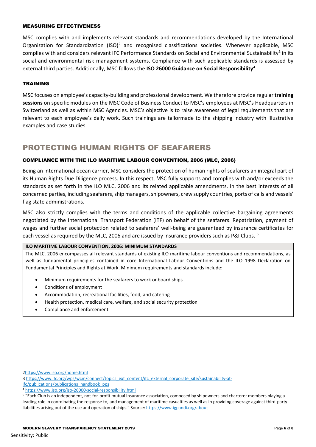#### MEASURING EFFECTIVENESS

MSC complies with and implements relevant standards and recommendations developed by the International Organization for Standardization  $(ISO)^2$  $(ISO)^2$  and recognised classifications societies. Whenever applicable, MSC complies with and considers relevant IFC Performance Standards on Social and Environmental Sustainability<sup>[3](#page-5-1)</sup> in its social and environmental risk management systems. Compliance with such applicable standards is assessed by external third parties. Additionally, MSC follows the **ISO 26000 Guidance on Social Responsibility<sup>4</sup>.** 

#### TRAINING

MSC focuses on employee's capacity-building and professional development. We therefore provide regular **training sessions** on specific modules on the MSC Code of Business Conduct to MSC's employees at MSC's Headquarters in Switzerland as well as within MSC Agencies. MSC's objective is to raise awareness of legal requirements that are relevant to each employee's daily work. Such trainings are tailormade to the shipping industry with illustrative examples and case studies.

### PROTECTING HUMAN RIGHTS OF SEAFARERS

#### COMPLIANCE WITH THE ILO MARITIME LABOUR CONVENTION, 2006 (MLC, 2006)

Being an international ocean carrier, MSC considers the protection of human rights of seafarers an integral part of its Human Rights Due Diligence process. In this respect, MSC fully supports and complies with and/or exceeds the standards as set forth in the ILO MLC, 2006 and its related applicable amendments, in the best interests of all concerned parties, including seafarers, ship managers, shipowners, crew supply countries, ports of calls and vessels' flag state administrations.

MSC also strictly complies with the terms and conditions of the applicable collective bargaining agreements negotiated by the International Transport Federation (ITF) on behalf of the seafarers. Repatriation, payment of wages and further social protection related to seafarers' well-being are guaranteed by insurance certificates for each vessel as required by the MLC, 2006 and are issued by insurance providers such as P&I Clubs. <sup>[5](#page-5-3)</sup>

#### **ILO MARITIME LABOUR CONVENTION, 2006: MINIMUM STANDARDS**

The MLC, 2006 encompasses all relevant standards of existing ILO maritime labour conventions and recommendations, as well as fundamental principles contained in core International Labour Conventions and the ILO 1998 Declaration on Fundamental Principles and Rights at Work. Minimum requirements and standards include:

- Minimum requirements for the seafarers to work onboard ships
- Conditions of employment
- Accommodation, recreational facilities, food, and catering
- Health protection, medical care, welfare, and social security protection
- Compliance and enforcement

<span id="page-5-0"></span>[<sup>2</sup>https://www.iso.org/home.html](https://www.iso.org/home.html)

<span id="page-5-1"></span><sup>3</sup> [https://www.ifc.org/wps/wcm/connect/topics\\_ext\\_content/ifc\\_external\\_corporate\\_site/sustainability-at-](https://www.ifc.org/wps/wcm/connect/topics_ext_content/ifc_external_corporate_site/sustainability-at-ifc/publications/publications_handbook_pps)

[ifc/publications/publications\\_handbook\\_pps](https://www.ifc.org/wps/wcm/connect/topics_ext_content/ifc_external_corporate_site/sustainability-at-ifc/publications/publications_handbook_pps)

<span id="page-5-2"></span><sup>4</sup> <https://www.iso.org/iso-26000-social-responsibility.html>

<span id="page-5-3"></span><sup>5</sup> "Each Club is an independent, not-for-profit mutual insurance association, composed by shipowners and charterer members playing a leading role in coordinating the response to, and management of maritime casualties as well as in providing coverage against third-party liabilities arising out of the use and operation of ships." Source[: https://www.igpandi.org/about](https://www.igpandi.org/about)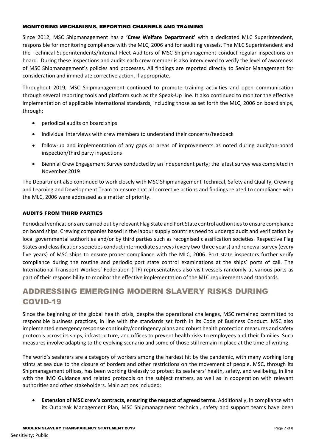#### MONITORING MECHANISMS, REPORTING CHANNELS AND TRAINING

Since 2012, MSC Shipmanagement has a **'Crew Welfare Department'** with a dedicated MLC Superintendent, responsible for monitoring compliance with the MLC, 2006 and for auditing vessels. The MLC Superintendent and the Technical Superintendents/Internal Fleet Auditors of MSC Shipmanagement conduct regular inspections on board. During these inspections and audits each crew member is also interviewed to verify the level of awareness of MSC Shipmanagement's policies and processes. All findings are reported directly to Senior Management for consideration and immediate corrective action, if appropriate.

Throughout 2019, MSC Shipmanagement continued to promote training activities and open communication through several reporting tools and platform such as the Speak-Up line. It also continued to monitor the effective implementation of applicable international standards, including those as set forth the MLC, 2006 on board ships, through:

- periodical audits on board ships
- individual interviews with crew members to understand their concerns/feedback
- follow-up and implementation of any gaps or areas of improvements as noted during audit/on-board inspection/third party inspections
- Biennial Crew Engagement Survey conducted by an independent party; the latest survey was completed in November 2019

The Department also continued to work closely with MSC Shipmanagement Technical, Safety and Quality, Crewing and Learning and Development Team to ensure that all corrective actions and findings related to compliance with the MLC, 2006 were addressed as a matter of priority.

#### AUDITS FROM THIRD PARTIES

Periodical verifications are carried out by relevant Flag State and Port State control authorities to ensure compliance on board ships. Crewing companies based in the labour supply countries need to undergo audit and verification by local governmental authorities and/or by third parties such as recognised classification societies. Respective Flag States and classifications societies conduct intermediate surveys (every two-three years) and renewal survey (every five years) of MSC ships to ensure proper compliance with the MLC, 2006. Port state inspectors further verify compliance during the routine and periodic port state control examinations at the ships' ports of call. The International Transport Workers' Federation (ITF) representatives also visit vessels randomly at various ports as part of their responsibility to monitor the effective implementation of the MLC requirements and standards.

# ADDRESSING EMERGING MODERN SLAVERY RISKS DURING COVID-19

Since the beginning of the global health crisis, despite the operational challenges, MSC remained committed to responsible business practices, in line with the standards set forth in its Code of Business Conduct. MSC also implemented emergency response continuity/contingency plans and robust health protection measures and safety protocols across its ships, infrastructure, and offices to prevent health risks to employees and their families. Such measures involve adapting to the evolving scenario and some of those still remain in place at the time of writing.

The world's seafarers are a category of workers among the hardest hit by the pandemic, with many working long stints at sea due to the closure of borders and other restrictions on the movement of people. MSC, through its Shipmanagement offices, has been working tirelessly to protect its seafarers' health, safety, and wellbeing, in line with the IMO Guidance and related protocols on the subject matters, as well as in cooperation with relevant authorities and other stakeholders. Main actions included:

• **Extension of MSC crew's contracts, ensuring the respect of agreed terms.** Additionally, in compliance with its Outbreak Management Plan, MSC Shipmanagement technical, safety and support teams have been